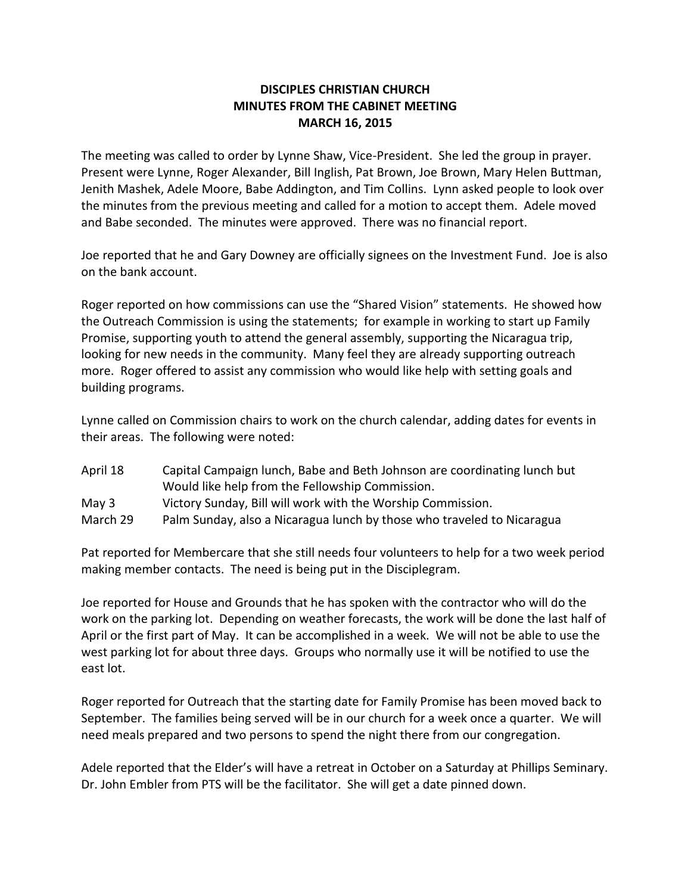## **DISCIPLES CHRISTIAN CHURCH MINUTES FROM THE CABINET MEETING MARCH 16, 2015**

The meeting was called to order by Lynne Shaw, Vice-President. She led the group in prayer. Present were Lynne, Roger Alexander, Bill Inglish, Pat Brown, Joe Brown, Mary Helen Buttman, Jenith Mashek, Adele Moore, Babe Addington, and Tim Collins. Lynn asked people to look over the minutes from the previous meeting and called for a motion to accept them. Adele moved and Babe seconded. The minutes were approved. There was no financial report.

Joe reported that he and Gary Downey are officially signees on the Investment Fund. Joe is also on the bank account.

Roger reported on how commissions can use the "Shared Vision" statements. He showed how the Outreach Commission is using the statements; for example in working to start up Family Promise, supporting youth to attend the general assembly, supporting the Nicaragua trip, looking for new needs in the community. Many feel they are already supporting outreach more. Roger offered to assist any commission who would like help with setting goals and building programs.

Lynne called on Commission chairs to work on the church calendar, adding dates for events in their areas. The following were noted:

| April 18 | Capital Campaign lunch, Babe and Beth Johnson are coordinating lunch but |
|----------|--------------------------------------------------------------------------|
|          | Would like help from the Fellowship Commission.                          |
| May $3$  | Victory Sunday, Bill will work with the Worship Commission.              |
| March 29 | Palm Sunday, also a Nicaragua lunch by those who traveled to Nicaragua   |

Pat reported for Membercare that she still needs four volunteers to help for a two week period making member contacts. The need is being put in the Disciplegram.

Joe reported for House and Grounds that he has spoken with the contractor who will do the work on the parking lot. Depending on weather forecasts, the work will be done the last half of April or the first part of May. It can be accomplished in a week. We will not be able to use the west parking lot for about three days. Groups who normally use it will be notified to use the east lot.

Roger reported for Outreach that the starting date for Family Promise has been moved back to September. The families being served will be in our church for a week once a quarter. We will need meals prepared and two persons to spend the night there from our congregation.

Adele reported that the Elder's will have a retreat in October on a Saturday at Phillips Seminary. Dr. John Embler from PTS will be the facilitator. She will get a date pinned down.